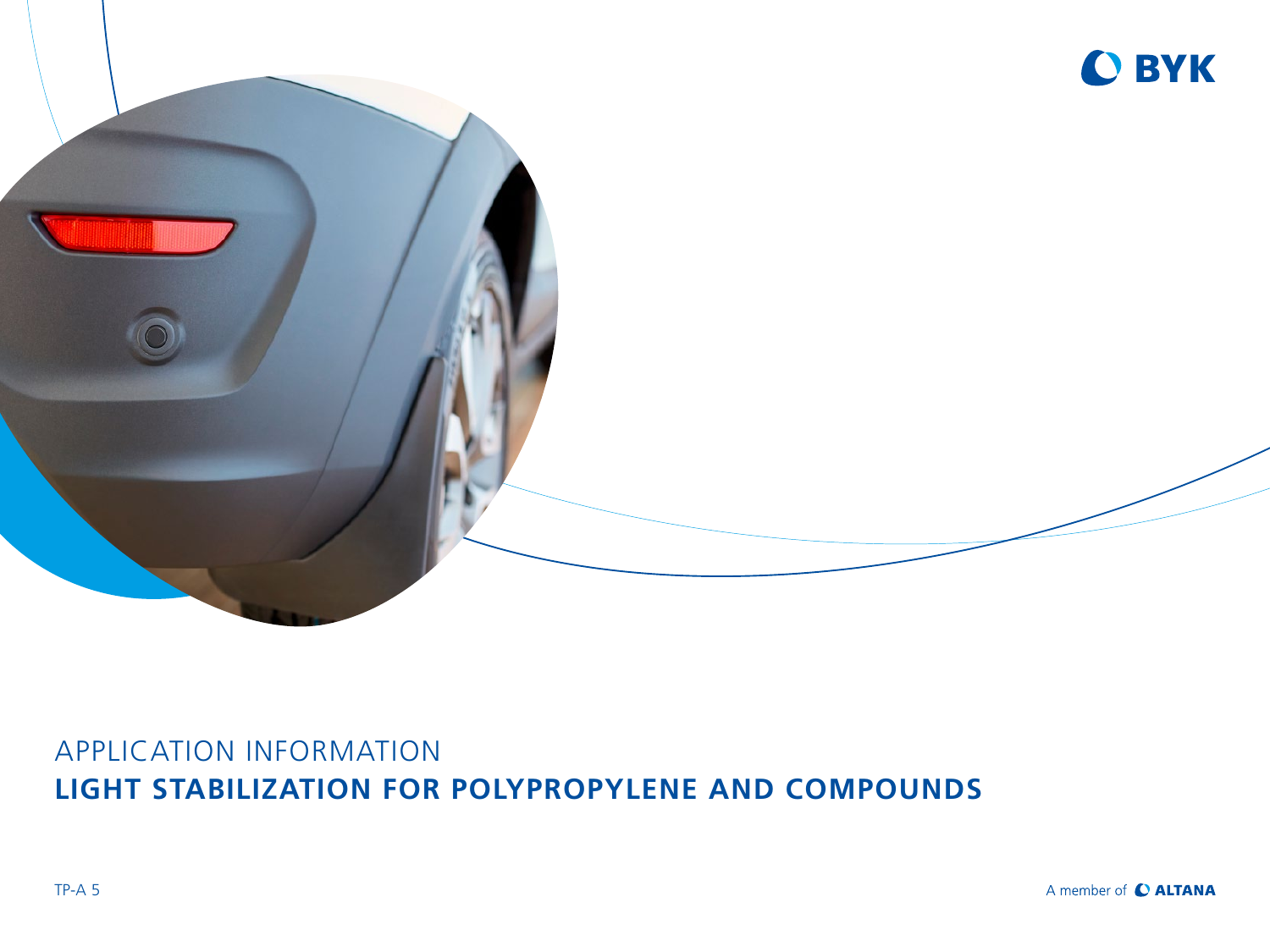

### APPLICATION INFORMATION **LIGHT STABILIZATION FOR POLYPROPYLENE AND COMPOUNDS**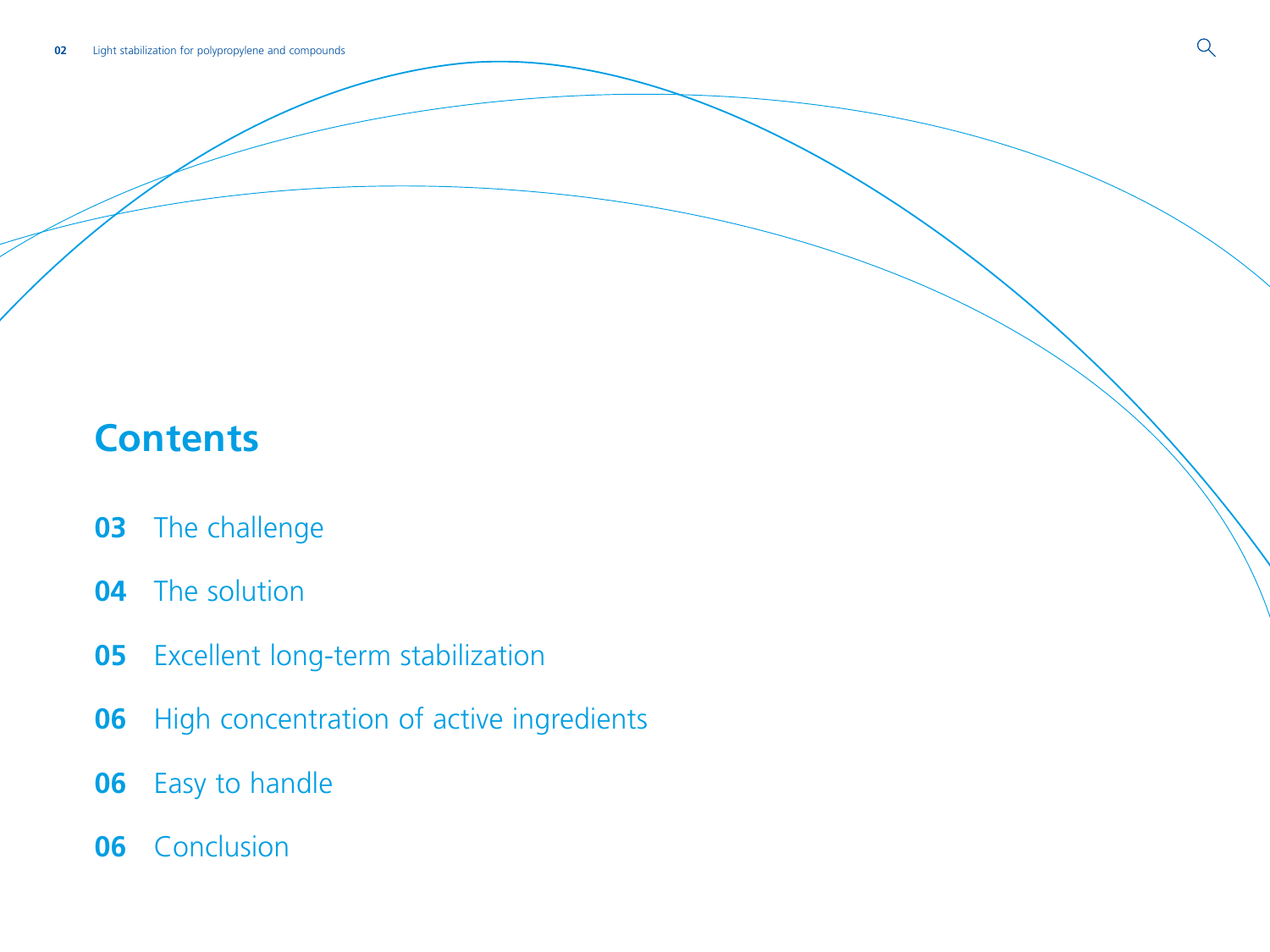# **Contents**

- [The challenge](#page-2-0)
- [The solution](#page-3-0)
- [Excellent long-term stabilization](#page-4-0)
- [High concentration of active ingredients](#page-5-0)
- [Easy to handle](#page-5-0)
- [Conclusion](#page-5-0)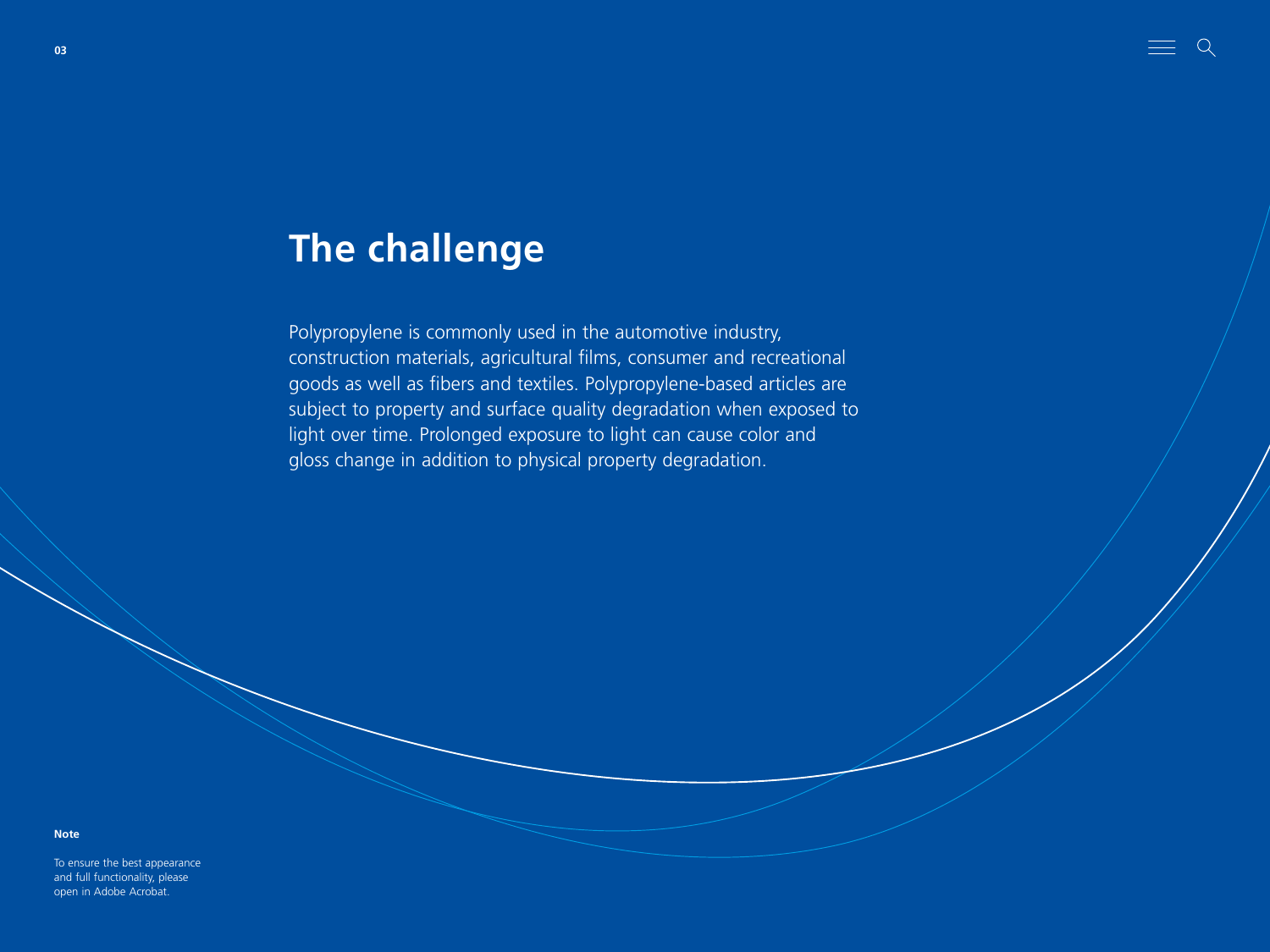## <span id="page-2-0"></span>**The challenge**

Polypropylene is commonly used in the automotive industry, construction materials, agricultural films, consumer and recreational goods as well as fibers and textiles. Polypropylene-based articles are subject to property and surface quality degradation when exposed to light over time. Prolonged exposure to light can cause color and gloss change in addition to physical property degradation.

 $=$   $\circ$ 

#### **Note**

To ensure the best appearance and full functionality, please open in Adobe Acrobat.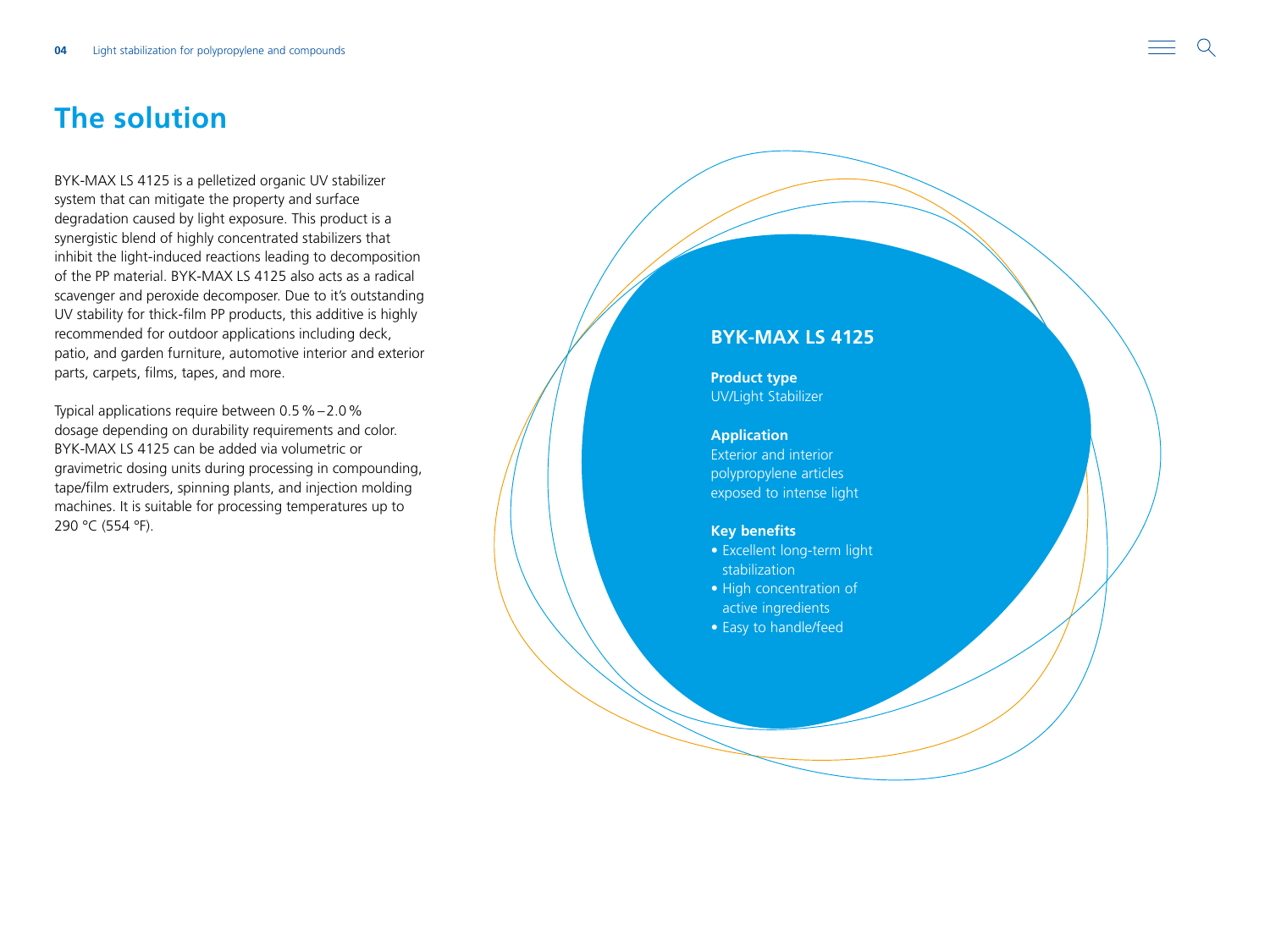### <span id="page-3-0"></span>**The solution**

BYK-MAX LS 4125 is a pelletized organic UV stabilizer system that can mitigate the property and surface degradation caused by light exposure. This product is a synergistic blend of highly concentrated stabilizers that inhibit the light-induced reactions leading to decomposition of the PP material. BYK-MAX LS 4125 also acts as a radical scavenger and peroxide decomposer. Due to it's outstanding UV stability for thick-film PP products, this additive is highly recommended for outdoor applications including deck, patio, and garden furniture, automotive interior and exterior parts, carpets, films, tapes, and more.

Typical applications require between 0.5 % –2.0% dosage depending on durability requirements and color. BYK-MAX LS 4125 can be added via volumetric or gravimetric dosing units during processing in compounding, tape/film extruders, spinning plants, and injection molding machines. It is suitable for processing temperatures up to 290 °C (554 °F).

### **BYK-MAX LS 4125**

**Product type** UV/Light Stabilizer

### **Application**

Exterior and interior polypropylene articles exposed to intense light

#### **Key benefits**

- Excellent long-term light stabilization • High concentration of
- active ingredients • Easy to handle/feed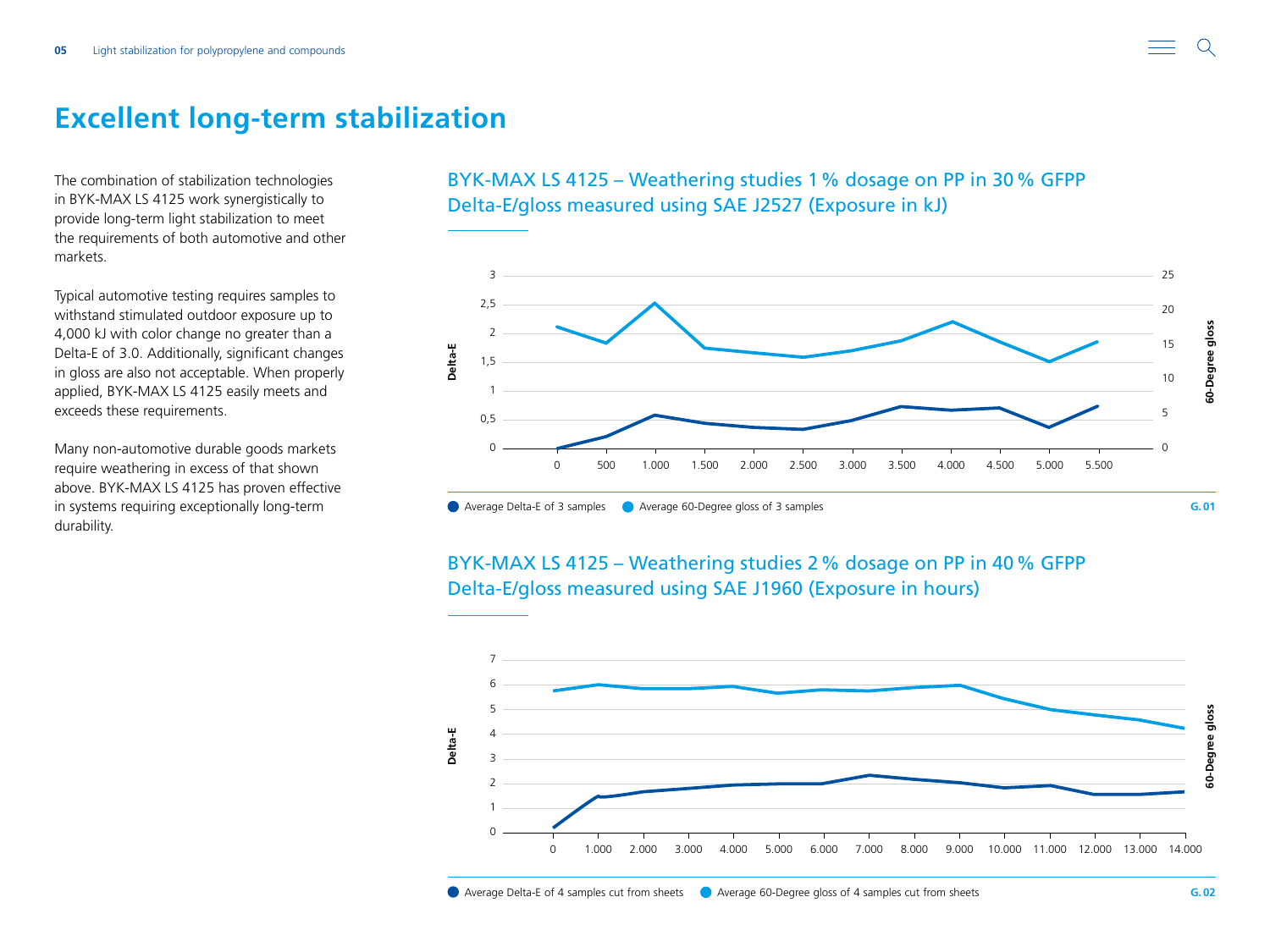<span id="page-4-0"></span>

The combination of stabilization technologies in BYK-MAX LS 4125 work synergistically to provide long-term light stabilization to meet the requirements of both automotive and other markets.

Typical automotive testing requires samples to withstand stimulated outdoor exposure up to 4,000 kJ with color change no greater than a Delta-E of 3.0. Additionally, significant changes in gloss are also not acceptable. When properly applied, BYK-MAX LS 4125 easily meets and exceeds these requirements.

Many non-automotive durable goods markets require weathering in excess of that shown above. BYK-MAX LS 4125 has proven effective in systems requiring exceptionally long-term durability.





### BYK-MAX LS 4125 – Weathering studies 2% dosage on PP in 40% GFPP Delta-E/gloss measured using SAE J1960 (Exposure in hours)

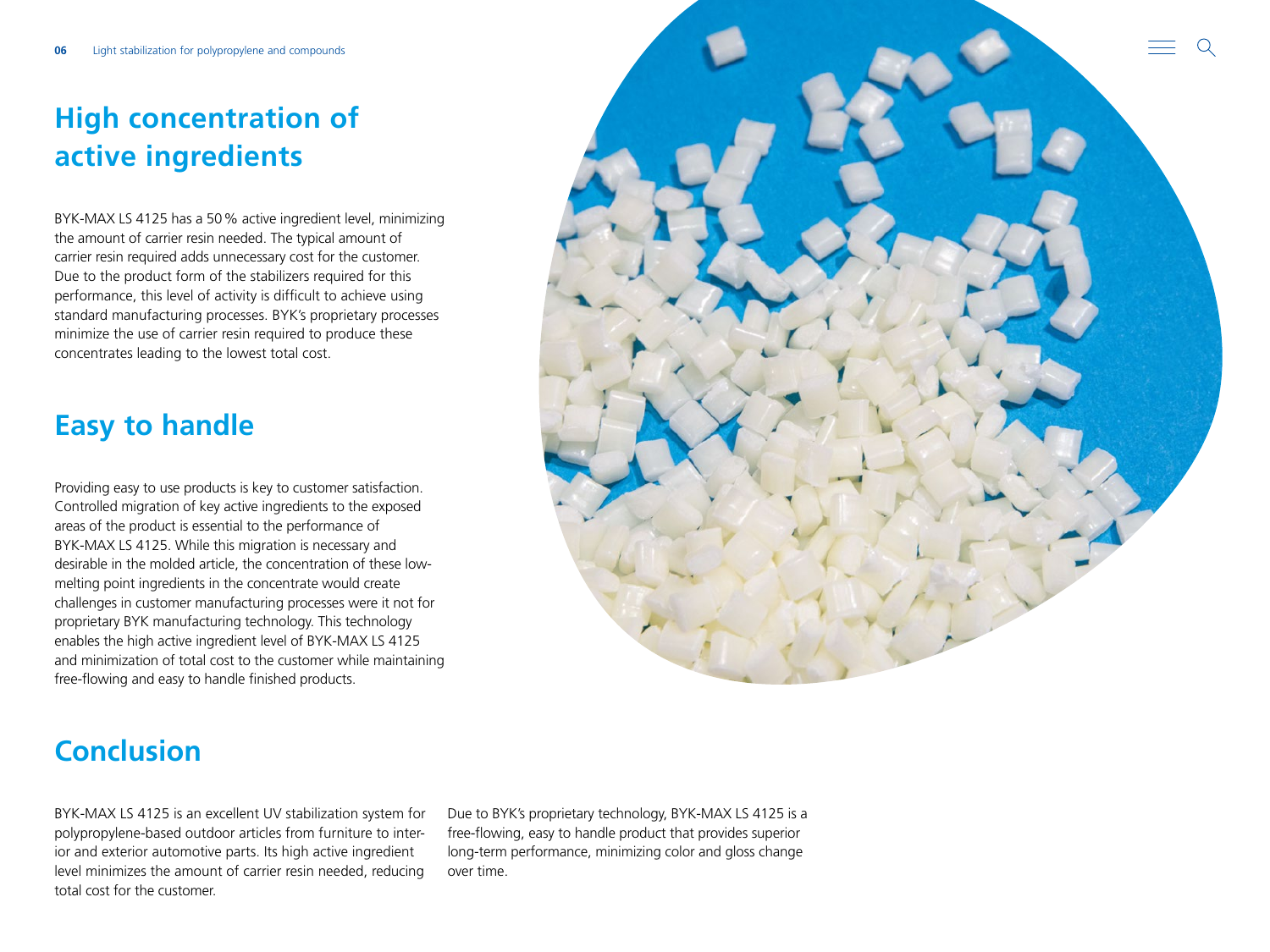## <span id="page-5-0"></span>**High concentration of active ingredients**

BYK-MAX LS 4125 has a 50% active ingredient level, minimizing the amount of carrier resin needed. The typical amount of carrier resin required adds unnecessary cost for the customer. Due to the product form of the stabilizers required for this performance, this level of activity is difficult to achieve using standard manufacturing processes. BYK's proprietary processes minimize the use of carrier resin required to produce these concentrates leading to the lowest total cost.

### **Easy to handle**

Providing easy to use products is key to customer satisfaction. Controlled migration of key active ingredients to the exposed areas of the product is essential to the performance of BYK-MAX LS 4125. While this migration is necessary and desirable in the molded article, the concentration of these lowmelting point ingredients in the concentrate would create challenges in customer manufacturing processes were it not for proprietary BYK manufacturing technology. This technology enables the high active ingredient level of BYK-MAX LS 4125 and minimization of total cost to the customer while maintaining free-flowing and easy to handle finished products.



### **Conclusion**

BYK-MAX LS 4125 is an excellent UV stabilization system for polypropylene-based outdoor articles from furniture to interior and exterior automotive parts. Its high active ingredient level minimizes the amount of carrier resin needed, reducing total cost for the customer.

Due to BYK's proprietary technology, BYK-MAX LS 4125 is a free-flowing, easy to handle product that provides superior long-term performance, minimizing color and gloss change over time.